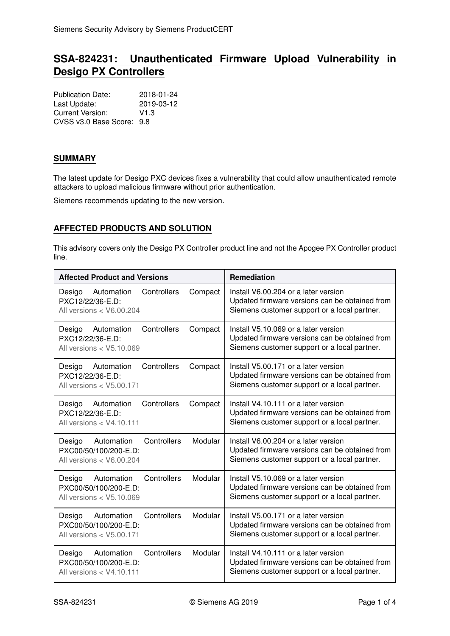# **SSA-824231: Unauthenticated Firmware Upload Vulnerability in Desigo PX Controllers**

| <b>Publication Date:</b>  | 2018-01-24       |
|---------------------------|------------------|
| Last Update:              | 2019-03-12       |
| Current Version:          | V <sub>1.3</sub> |
| CVSS v3.0 Base Score: 9.8 |                  |

#### **SUMMARY**

The latest update for Desigo PXC devices fixes a vulnerability that could allow unauthenticated remote attackers to upload malicious firmware without prior authentication.

Siemens recommends updating to the new version.

## **AFFECTED PRODUCTS AND SOLUTION**

This advisory covers only the Desigo PX Controller product line and not the Apogee PX Controller product line.

| <b>Affected Product and Versions</b>                                                                  | Remediation                                                                                                                            |
|-------------------------------------------------------------------------------------------------------|----------------------------------------------------------------------------------------------------------------------------------------|
| Controllers<br>Automation<br>Compact<br>Desigo<br>PXC12/22/36-E.D:<br>All versions < V6.00.204        | Install V6.00.204 or a later version<br>Updated firmware versions can be obtained from<br>Siemens customer support or a local partner. |
| Controllers<br>Compact<br>Desigo<br>Automation<br>PXC12/22/36-E.D:<br>All versions < V5.10.069        | Install V5.10.069 or a later version<br>Updated firmware versions can be obtained from<br>Siemens customer support or a local partner. |
| Controllers<br>Compact<br>Desigo<br>Automation<br>PXC12/22/36-E.D:<br>All versions $<$ V5.00.171      | Install V5.00.171 or a later version<br>Updated firmware versions can be obtained from<br>Siemens customer support or a local partner. |
| Controllers<br>Compact<br>Desigo<br>Automation<br>PXC12/22/36-E.D:<br>All versions $<$ V4.10.111      | Install V4.10.111 or a later version<br>Updated firmware versions can be obtained from<br>Siemens customer support or a local partner. |
| Controllers<br>Modular<br>Desigo<br>Automation<br>PXC00/50/100/200-E.D:<br>All versions < V6.00.204   | Install V6.00.204 or a later version<br>Updated firmware versions can be obtained from<br>Siemens customer support or a local partner. |
| Modular<br>Controllers<br>Desigo<br>Automation<br>PXC00/50/100/200-E.D:<br>All versions < V5.10.069   | Install V5.10.069 or a later version<br>Updated firmware versions can be obtained from<br>Siemens customer support or a local partner. |
| Modular<br>Controllers<br>Automation<br>Desigo<br>PXC00/50/100/200-E.D:<br>All versions $<$ V5.00.171 | Install V5.00.171 or a later version<br>Updated firmware versions can be obtained from<br>Siemens customer support or a local partner. |
| Controllers<br>Modular<br>Desigo<br>Automation<br>PXC00/50/100/200-E.D:<br>All versions $<$ V4.10.111 | Install V4.10.111 or a later version<br>Updated firmware versions can be obtained from<br>Siemens customer support or a local partner. |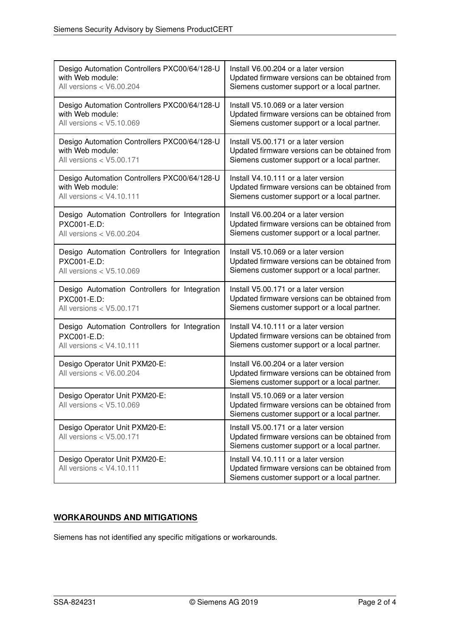| Desigo Automation Controllers PXC00/64/128-U                | Install V6.00.204 or a later version                                                                                                   |
|-------------------------------------------------------------|----------------------------------------------------------------------------------------------------------------------------------------|
| with Web module:                                            | Updated firmware versions can be obtained from                                                                                         |
| All versions < V6.00.204                                    | Siemens customer support or a local partner.                                                                                           |
| Desigo Automation Controllers PXC00/64/128-U                | Install V5.10.069 or a later version                                                                                                   |
| with Web module:                                            | Updated firmware versions can be obtained from                                                                                         |
| All versions < V5.10.069                                    | Siemens customer support or a local partner.                                                                                           |
| Desigo Automation Controllers PXC00/64/128-U                | Install V5.00.171 or a later version                                                                                                   |
| with Web module:                                            | Updated firmware versions can be obtained from                                                                                         |
| All versions < V5.00.171                                    | Siemens customer support or a local partner.                                                                                           |
| Desigo Automation Controllers PXC00/64/128-U                | Install V4.10.111 or a later version                                                                                                   |
| with Web module:                                            | Updated firmware versions can be obtained from                                                                                         |
| All versions < V4.10.111                                    | Siemens customer support or a local partner.                                                                                           |
| Desigo Automation Controllers for Integration               | Install V6.00.204 or a later version                                                                                                   |
| PXC001-E.D:                                                 | Updated firmware versions can be obtained from                                                                                         |
| All versions < V6.00.204                                    | Siemens customer support or a local partner.                                                                                           |
| Desigo Automation Controllers for Integration               | Install V5.10.069 or a later version                                                                                                   |
| PXC001-E.D:                                                 | Updated firmware versions can be obtained from                                                                                         |
| All versions $<$ V5.10.069                                  | Siemens customer support or a local partner.                                                                                           |
| Desigo Automation Controllers for Integration               | Install V5.00.171 or a later version                                                                                                   |
| PXC001-E.D:                                                 | Updated firmware versions can be obtained from                                                                                         |
| All versions $<$ V5.00.171                                  | Siemens customer support or a local partner.                                                                                           |
| Desigo Automation Controllers for Integration               | Install V4.10.111 or a later version                                                                                                   |
| PXC001-E.D:                                                 | Updated firmware versions can be obtained from                                                                                         |
| All versions < V4.10.111                                    | Siemens customer support or a local partner.                                                                                           |
| Desigo Operator Unit PXM20-E:<br>All versions $<$ V6.00.204 | Install V6.00.204 or a later version<br>Updated firmware versions can be obtained from<br>Siemens customer support or a local partner. |
| Desigo Operator Unit PXM20-E:<br>All versions $<$ V5.10.069 | Install V5.10.069 or a later version<br>Updated firmware versions can be obtained from<br>Siemens customer support or a local partner. |
| Desigo Operator Unit PXM20-E:<br>All versions < V5.00.171   | Install V5.00.171 or a later version<br>Updated firmware versions can be obtained from<br>Siemens customer support or a local partner. |
| Desigo Operator Unit PXM20-E:<br>All versions < V4.10.111   | Install V4.10.111 or a later version<br>Updated firmware versions can be obtained from<br>Siemens customer support or a local partner. |

# **WORKAROUNDS AND MITIGATIONS**

Siemens has not identified any specific mitigations or workarounds.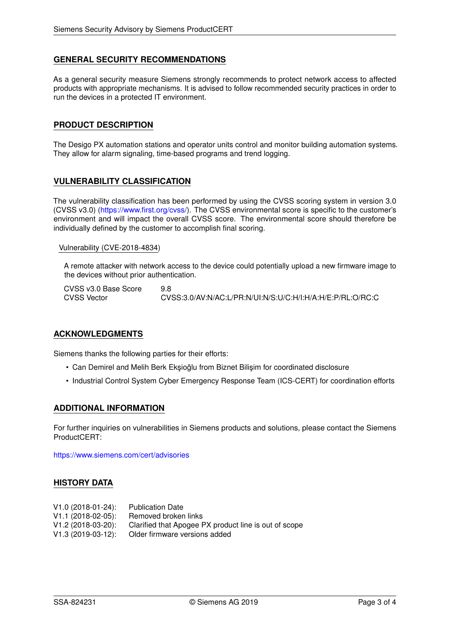#### **GENERAL SECURITY RECOMMENDATIONS**

As a general security measure Siemens strongly recommends to protect network access to affected products with appropriate mechanisms. It is advised to follow recommended security practices in order to run the devices in a protected IT environment.

#### **PRODUCT DESCRIPTION**

The Desigo PX automation stations and operator units control and monitor building automation systems. They allow for alarm signaling, time-based programs and trend logging.

#### **VULNERABILITY CLASSIFICATION**

The vulnerability classification has been performed by using the CVSS scoring system in version 3.0 (CVSS v3.0) [\(https://www.first.org/cvss/\)](https://www.first.org/cvss/). The CVSS environmental score is specific to the customer's environment and will impact the overall CVSS score. The environmental score should therefore be individually defined by the customer to accomplish final scoring.

#### Vulnerability (CVE-2018-4834)

A remote attacker with network access to the device could potentially upload a new firmware image to the devices without prior authentication.

CVSS v3.0 Base Score 9.8<br>CVSS Vector CVS CVSS:3.0/AV:N/AC:L/PR:N/UI:N/S:LI/C:H/I:H/A:H/F:P/RL:O/RC:C

### **ACKNOWLEDGMENTS**

Siemens thanks the following parties for their efforts:

- Can Demirel and Melih Berk Eksioğlu from Biznet Bilisim for coordinated disclosure
- Industrial Control System Cyber Emergency Response Team (ICS-CERT) for coordination efforts

#### **ADDITIONAL INFORMATION**

For further inquiries on vulnerabilities in Siemens products and solutions, please contact the Siemens ProductCERT:

<https://www.siemens.com/cert/advisories>

#### **HISTORY DATA**

| $V1.0 (2018-01-24)$ : | <b>Publication Date</b>                               |
|-----------------------|-------------------------------------------------------|
| $V1.1 (2018-02-05)$ : | Removed broken links                                  |
| $V1.2(2018-03-20)$ :  | Clarified that Apogee PX product line is out of scope |
| $V1.3(2019-03-12)$ :  | Older firmware versions added                         |